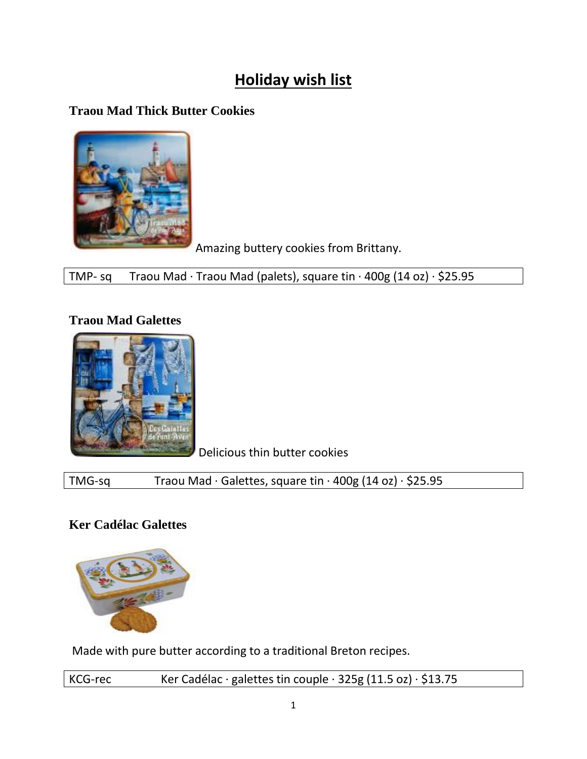# **Holiday wish list**

# **Traou Mad Thick Butter Cookies**



Amazing buttery cookies from Brittany.

TMP- sq Traou Mad · Traou Mad (palets), square tin · 400g (14 oz) · \$25.95

# **Traou Mad Galettes**



Delicious thin butter cookies

TMG-sq Traou Mad · Galettes, square tin · 400g (14 oz) · \$25.95

# **Ker Cadélac Galettes**



Made with pure butter according to a traditional Breton recipes.

| KCG-rec | Ker Cadélac · galettes tin couple · $325g(11.5 oz) \cdot $13.75$ |
|---------|------------------------------------------------------------------|
|---------|------------------------------------------------------------------|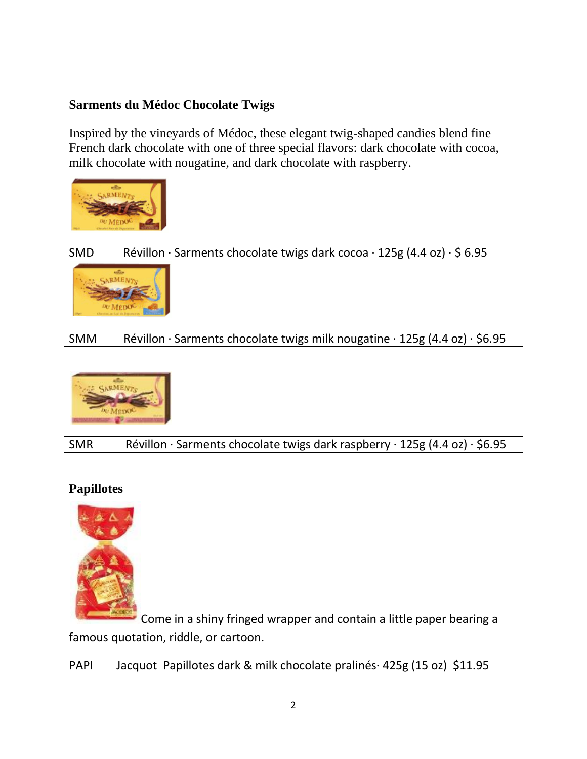#### **Sarments du Médoc Chocolate Twigs**

Inspired by the vineyards of Médoc, these elegant twig-shaped candies blend fine French dark chocolate with one of three special flavors: dark chocolate with cocoa, milk chocolate with nougatine, and dark chocolate with raspberry.



SMD Révillon · Sarments chocolate twigs dark cocoa · 125g (4.4 oz) · \$ 6.95



SMM Révillon · Sarments chocolate twigs milk nougatine · 125g (4.4 oz) · \$6.95



SMR Révillon · Sarments chocolate twigs dark raspberry · 125g (4.4 oz) · \$6.95

## **Papillotes**



Come in a shiny fringed wrapper and contain a little paper bearing a famous quotation, riddle, or cartoon.

PAPI Jacquot Papillotes dark & milk chocolate pralinés· 425g (15 oz) \$11.95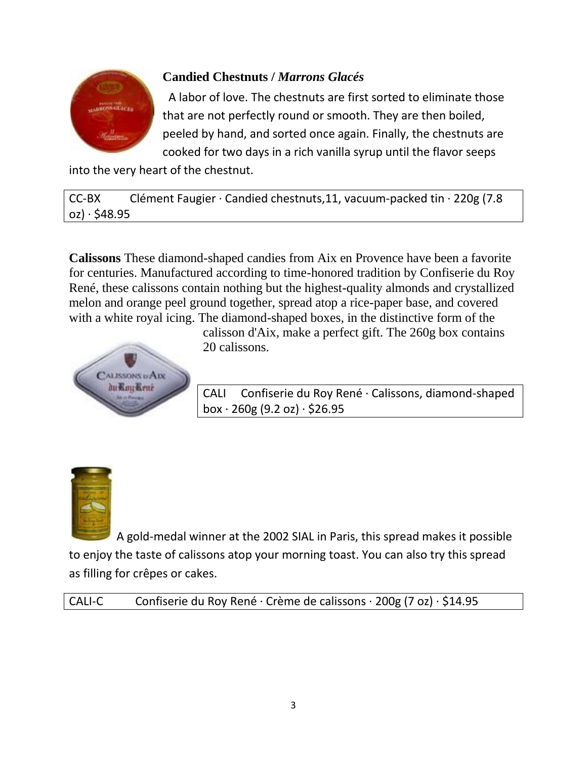

# **Candied Chestnuts /** *Marrons Glacés*

A labor of love. The chestnuts are first sorted to eliminate those that are not perfectly round or smooth. They are then boiled, peeled by hand, and sorted once again. Finally, the chestnuts are cooked for two days in a rich vanilla syrup until the flavor seeps

into the very heart of the chestnut.

CC-BX Clément Faugier · Candied chestnuts,11, vacuum-packed tin · 220g (7.8  $oz) \cdot $48.95$ 

**Calissons** These diamond-shaped candies from Aix en Provence have been a favorite for centuries. Manufactured according to time-honored tradition by Confiserie du Roy René, these calissons contain nothing but the highest-quality almonds and crystallized melon and orange peel ground together, spread atop a rice-paper base, and covered with a white royal icing. The diamond-shaped boxes, in the distinctive form of the



calisson d'Aix, make a perfect gift. The 260g box contains 20 calissons.

CALI Confiserie du Roy René · Calissons, diamond-shaped box  $\cdot$  260g (9.2 oz)  $\cdot$  \$26.95



A gold-medal winner at the 2002 SIAL in Paris, this spread makes it possible to enjoy the taste of calissons atop your morning toast. You can also try this spread as filling for crêpes or cakes.

CALI-C Confiserie du Roy René · Crème de calissons · 200g (7 oz) · \$14.95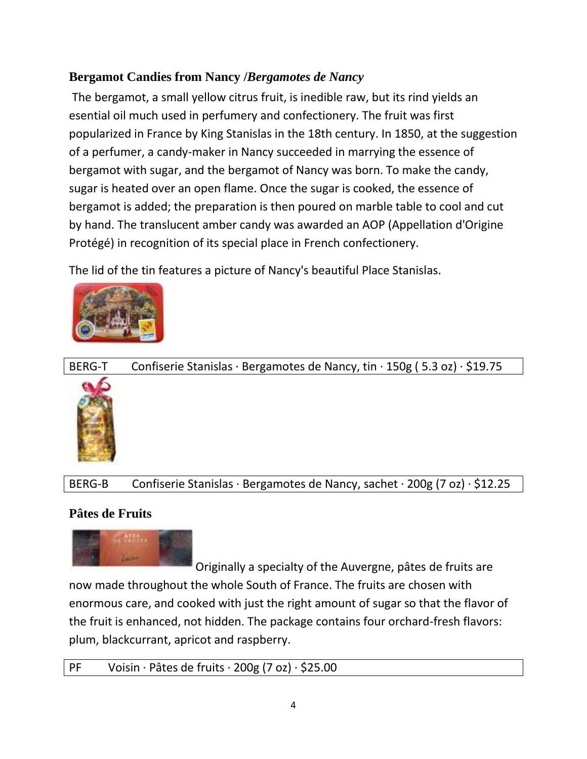# **Bergamot Candies from Nancy /***Bergamotes de Nancy*

The bergamot, a small yellow citrus fruit, is inedible raw, but its rind yields an esential oil much used in perfumery and confectionery. The fruit was first popularized in France by King Stanislas in the 18th century. In 1850, at the suggestion of a perfumer, a candy-maker in Nancy succeeded in marrying the essence of bergamot with sugar, and the bergamot of Nancy was born. To make the candy, sugar is heated over an open flame. Once the sugar is cooked, the essence of bergamot is added; the preparation is then poured on marble table to cool and cut by hand. The translucent amber candy was awarded an AOP (Appellation d'Origine Protégé) in recognition of its special place in French confectionery.

The lid of the tin features a picture of Nancy's beautiful Place Stanislas.



# BERG-T Confiserie Stanislas · Bergamotes de Nancy, tin · 150g (5.3 oz) · \$19.75

#### BERG-B Confiserie Stanislas · Bergamotes de Nancy, sachet · 200g (7 oz) · \$12.25

#### **Pâtes de Fruits**



Originally a specialty of the Auvergne, pâtes de fruits are now made throughout the whole South of France. The fruits are chosen with enormous care, and cooked with just the right amount of sugar so that the flavor of the fruit is enhanced, not hidden. The package contains four orchard-fresh flavors: plum, blackcurrant, apricot and raspberry.

```
PF Voisin · Pâtes de fruits · 200g (7 oz) · $25.00
```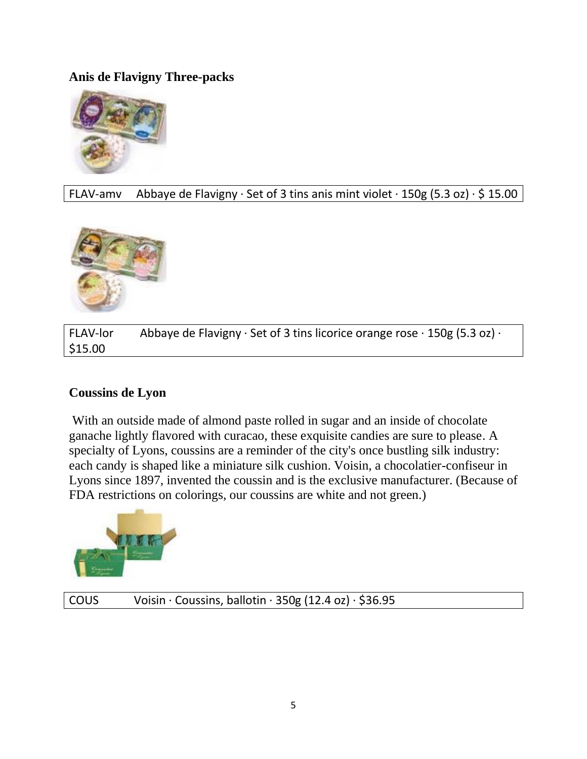#### **Anis de Flavigny Three-packs**



FLAV-amv Abbaye de Flavigny  $\cdot$  Set of 3 tins anis mint violet  $\cdot$  150g (5.3 oz)  $\cdot$  \$ 15.00



FLAV-lor Abbaye de Flavigny  $\cdot$  Set of 3 tins licorice orange rose  $\cdot$  150g (5.3 oz)  $\cdot$ \$15.00

#### **Coussins de Lyon**

With an outside made of almond paste rolled in sugar and an inside of chocolate ganache lightly flavored with curacao, these exquisite candies are sure to please. A specialty of Lyons, coussins are a reminder of the city's once bustling silk industry: each candy is shaped like a miniature silk cushion. Voisin, a chocolatier-confiseur in Lyons since 1897, invented the coussin and is the exclusive manufacturer. (Because of FDA restrictions on colorings, our coussins are white and not green.)



COUS Voisin · Coussins, ballotin · 350g (12.4 oz) · \$36.95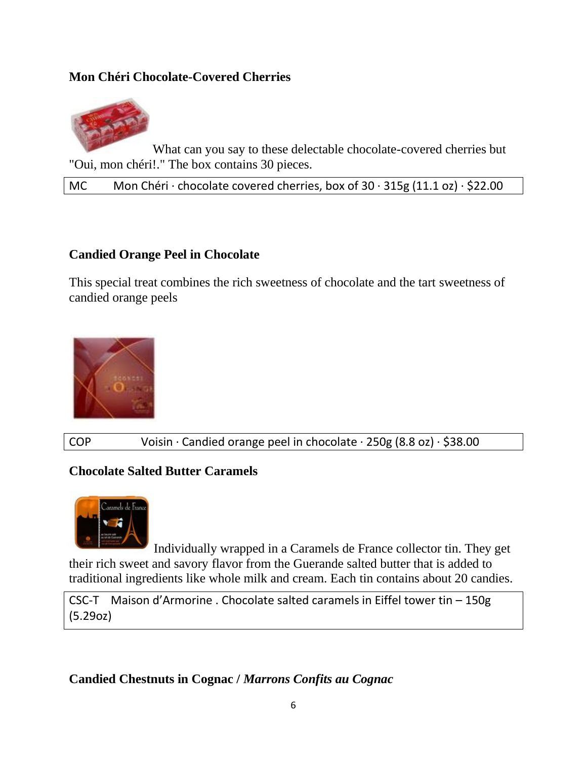#### **Mon Chéri Chocolate-Covered Cherries**



What can you say to these delectable chocolate-covered cherries but "Oui, mon chéri!." The box contains 30 pieces.

MC Mon Chéri · chocolate covered cherries, box of  $30 \cdot 315$ g (11.1 oz) · \$22.00

#### **Candied Orange Peel in Chocolate**

This special treat combines the rich sweetness of chocolate and the tart sweetness of candied orange peels



COP Voisin · Candied orange peel in chocolate · 250g (8.8 oz) · \$38.00

#### **Chocolate Salted Butter Caramels**



Individually wrapped in a Caramels de France collector tin. They get their rich sweet and savory flavor from the Guerande salted butter that is added to traditional ingredients like whole milk and cream. Each tin contains about 20 candies.

CSC-T Maison d'Armorine . Chocolate salted caramels in Eiffel tower tin – 150g (5.29oz)

**Candied Chestnuts in Cognac /** *Marrons Confits au Cognac*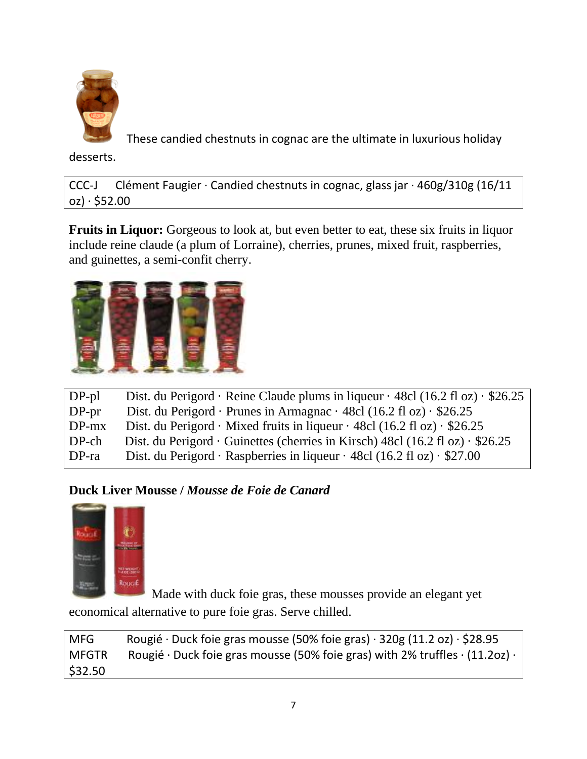

These candied chestnuts in cognac are the ultimate in luxurious holiday

desserts.

CCC-J Clément Faugier · Candied chestnuts in cognac, glass jar ·  $460g/310g$  (16/11  $oz) \cdot $52.00$ 

**Fruits in Liquor:** Gorgeous to look at, but even better to eat, these six fruits in liquor include reine claude (a plum of Lorraine), cherries, prunes, mixed fruit, raspberries, and guinettes, a semi-confit cherry.



| $DP-pl$ | Dist. du Perigord · Reine Claude plums in liqueur · 48cl (16.2 fl oz) · $$26.25$           |
|---------|--------------------------------------------------------------------------------------------|
| $DP-pr$ | Dist. du Perigord · Prunes in Armagnac · 48cl (16.2 fl oz) · $$26.25$                      |
| $DP-mx$ | Dist. du Perigord · Mixed fruits in liqueur · 48cl (16.2 fl oz) · $$26.25$                 |
| $DP-ch$ | Dist. du Perigord $\cdot$ Guinettes (cherries in Kirsch) 48cl (16.2 fl oz) $\cdot$ \$26.25 |
| $DP-ra$ | Dist. du Perigord · Raspberries in liqueur · 48cl (16.2 fl oz) · \$27.00                   |
|         |                                                                                            |

## **Duck Liver Mousse /** *Mousse de Foie de Canard*



Made with duck foie gras, these mousses provide an elegant yet economical alternative to pure foie gras. Serve chilled.

MFG Rougié · Duck foie gras mousse (50% foie gras) · 320g (11.2 oz) · \$28.95 MFGTR Rougié · Duck foie gras mousse (50% foie gras) with 2% truffles  $\cdot$  (11.2oz)  $\cdot$ \$32.50